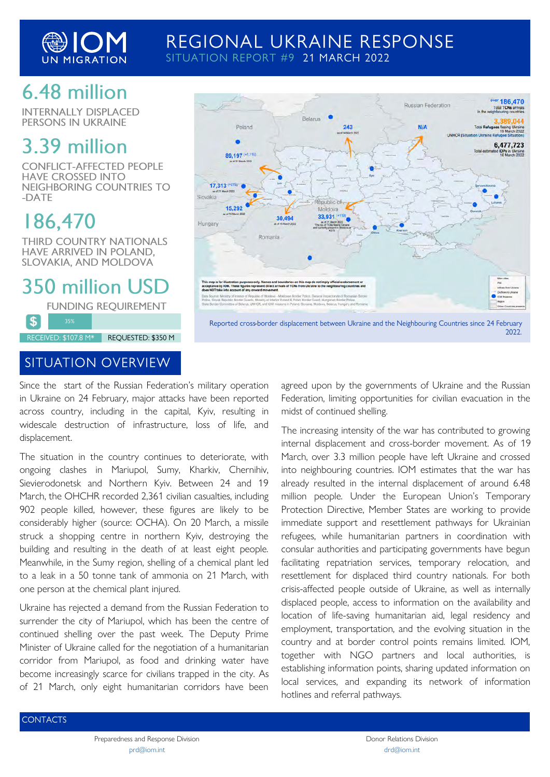

## REGIONAL UKRAINE RESPONSE SITUATION REPORT #9 21 MARCH 2022

## 6.48 million

**INTERNALLY DISPLACED** PERSONS IN UKRAINE

## 3.39 million

**CONFLICT-AFFECTED PEOPLE HAVE CROSSED INTO** NEIGHBORING COUNTRIES TO -DATE

# 186,470

£.

**THIRD COUNTRY NATIONALS** HAVE ARRIVED IN POLAND, SLOVAKIA, AND MOLDOVA

350 million USD

**FUNDING REQUIREMENT** 

RECEIVED: \$107.8 M\* REQUESTED: \$350 M

### **SITUATION OVERVIEW**

Since the start of the Russian Federation's military operation in Ukraine on 24 February, major attacks have been reported across country, including in the capital, Kyiv, resulting in widescale destruction of infrastructure, loss of life, and displacement.

The situation in the country continues to deteriorate, with ongoing clashes in Mariupol, Sumy, Kharkiv, Chernihiv, Sievierodonetsk and Northern Kyiv. Between 24 and 19 March, the OHCHR recorded 2,361 civilian casualties, including 902 people killed, however, these figures are likely to be considerably higher (source: OCHA). On 20 March, a missile struck a shopping centre in northern Kyiv, destroying the building and resulting in the death of at least eight people. Meanwhile, in the Sumy region, shelling of a chemical plant led to a leak in a 50 tonne tank of ammonia on 21 March, with one person at the chemical plant injured.

Ukraine has rejected a demand from the Russian Federation to surrender the city of Mariupol, which has been the centre of continued shelling over the past week. The Deputy Prime Minister of Ukraine called for the negotiation of a humanitarian corridor from Mariupol, as food and drinking water have become increasingly scarce for civilians trapped in the city. As of 21 March, only eight humanitarian corridors have been



agreed upon by the governments of Ukraine and the Russian Federation, limiting opportunities for civilian evacuation in the midst of continued shelling.

The increasing intensity of the war has contributed to growing internal displacement and cross-border movement. As of 19 March, over 3.3 million people have left Ukraine and crossed into neighbouring countries. IOM estimates that the war has already resulted in the internal displacement of around 6.48 million people. Under the European Union's Temporary Protection Directive, Member States are working to provide immediate support and resettlement pathways for Ukrainian refugees, while humanitarian partners in coordination with consular authorities and participating governments have begun facilitating repatriation services, temporary relocation, and resettlement for displaced third country nationals. For both crisis-affected people outside of Ukraine, as well as internally displaced people, access to information on the availability and location of life-saving humanitarian aid, legal residency and employment, transportation, and the evolving situation in the country and at border control points remains limited. IOM, together with NGO partners and local authorities, is establishing information points, sharing updated information on local services, and expanding its network of information hotlines and referral pathways.

**CONTACTS** 

Preparedness and Response Division [prd@iom.int](mailto:prd@iom.int)

Donor Relations Division [drd@iom.int](mailto:drd@iom.int)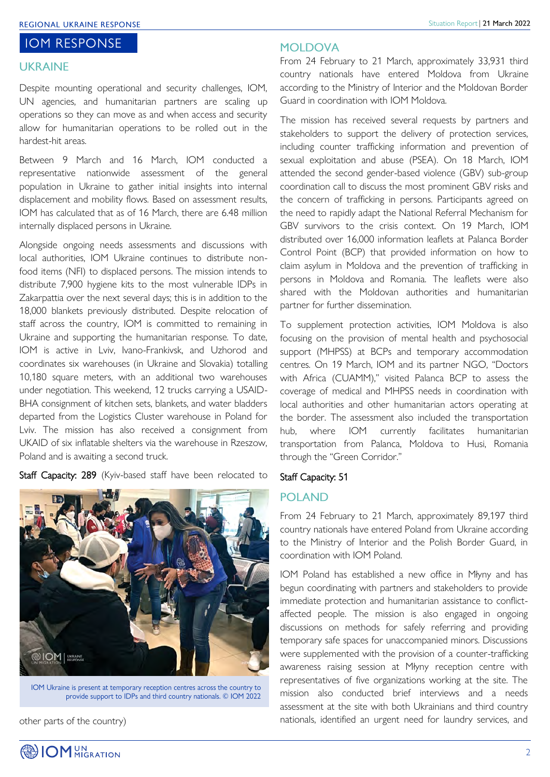#### **IOM RESPONSE**

#### **UKRAINE**

Despite mounting operational and security challenges, IOM, UN agencies, and humanitarian partners are scaling up operations so they can move as and when access and security allow for humanitarian operations to be rolled out in the hardest-hit areas.

Between 9 March and 16 March, IOM conducted a representative nationwide assessment of the general population in Ukraine to gather initial insights into internal displacement and mobility flows. Based on assessment results, IOM has calculated that as of 16 March, there are 6.48 million internally displaced persons in Ukraine.

Alongside ongoing needs assessments and discussions with local authorities, IOM Ukraine continues to distribute nonfood items (NFI) to displaced persons. The mission intends to distribute 7,900 hygiene kits to the most vulnerable IDPs in Zakarpattia over the next several days; this is in addition to the 18,000 blankets previously distributed. Despite relocation of staff across the country, IOM is committed to remaining in Ukraine and supporting the humanitarian response. To date, IOM is active in Lviv, Ivano-Frankivsk, and Uzhorod and coordinates six warehouses (in Ukraine and Slovakia) totalling 10,180 square meters, with an additional two warehouses under negotiation. This weekend, 12 trucks carrying a USAID-BHA consignment of kitchen sets, blankets, and water bladders departed from the Logistics Cluster warehouse in Poland for Lviv. The mission has also received a consignment from UKAID of six inflatable shelters via the warehouse in Rzeszow, Poland and is awaiting a second truck.

Staff Capacity: 289 (Kyiv-based staff have been relocated to



IOM Ukraine is present at temporary reception centres across the country to provide support to IDPs and third country nationals. © IOM 2022

other parts of the country)

#### **MOI DOVA**

From 24 February to 21 March, approximately 33,931 third country nationals have entered Moldova from Ukraine according to the Ministry of Interior and the Moldovan Border Guard in coordination with IOM Moldova.

The mission has received several requests by partners and stakeholders to support the delivery of protection services, including counter trafficking information and prevention of sexual exploitation and abuse (PSEA). On 18 March, IOM attended the second gender-based violence (GBV) sub-group coordination call to discuss the most prominent GBV risks and the concern of trafficking in persons. Participants agreed on the need to rapidly adapt the National Referral Mechanism for GBV survivors to the crisis context. On 19 March, IOM distributed over 16,000 information leaflets at Palanca Border Control Point (BCP) that provided information on how to claim asylum in Moldova and the prevention of trafficking in persons in Moldova and Romania. The leaflets were also shared with the Moldovan authorities and humanitarian partner for further dissemination.

To supplement protection activities, IOM Moldova is also focusing on the provision of mental health and psychosocial support (MHPSS) at BCPs and temporary accommodation centres. On 19 March, IOM and its partner NGO, "Doctors with Africa (CUAMM)," visited Palanca BCP to assess the coverage of medical and MHPSS needs in coordination with local authorities and other humanitarian actors operating at the border. The assessment also included the transportation hub, where IOM currently facilitates humanitarian transportation from Palanca, Moldova to Husi, Romania through the "Green Corridor."

#### Staff Capacity: 51

#### **POLAND**

From 24 February to 21 March, approximately 89,197 third country nationals have entered Poland from Ukraine according to the Ministry of Interior and the Polish Border Guard, in coordination with IOM Poland.

IOM Poland has established a new office in Młyny and has begun coordinating with partners and stakeholders to provide immediate protection and humanitarian assistance to conflictaffected people. The mission is also engaged in ongoing discussions on methods for safely referring and providing temporary safe spaces for unaccompanied minors. Discussions were supplemented with the provision of a counter-trafficking awareness raising session at Młyny reception centre with representatives of five organizations working at the site. The mission also conducted brief interviews and a needs assessment at the site with both Ukrainians and third country nationals, identified an urgent need for laundry services, and

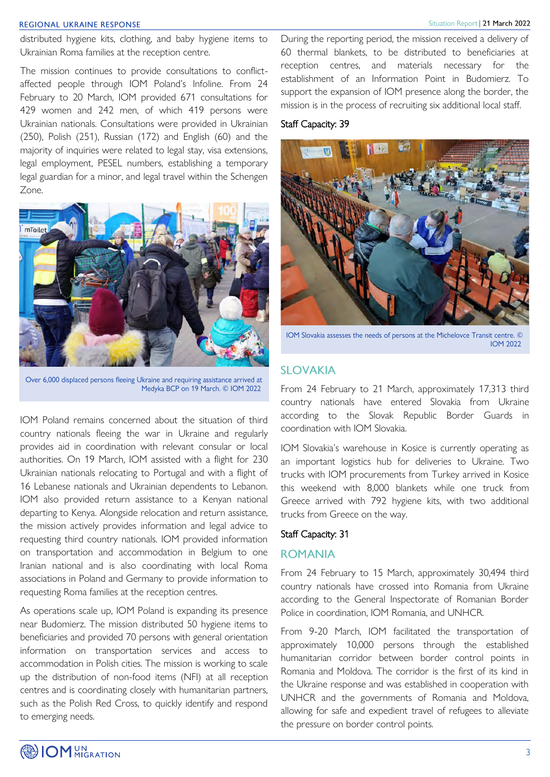#### Situation Report | 21 March 2022

#### **REGIONAL UKRAINE RESPONSE**

distributed hygiene kits, clothing, and baby hygiene items to Ukrainian Roma families at the reception centre.

The mission continues to provide consultations to conflictaffected people through IOM Poland's Infoline. From 24 February to 20 March, IOM provided 671 consultations for 429 women and 242 men, of which 419 persons were Ukrainian nationals. Consultations were provided in Ukrainian (250), Polish (251), Russian (172) and English (60) and the majority of inquiries were related to legal stay, visa extensions, legal employment, PESEL numbers, establishing a temporary legal guardian for a minor, and legal travel within the Schengen Zone.



Over 6,000 displaced persons fleeing Ukraine and requiring assistance arrived at Medyka BCP on 19 March. © IOM 2022

IOM Poland remains concerned about the situation of third country nationals fleeing the war in Ukraine and regularly provides aid in coordination with relevant consular or local authorities. On 19 March, IOM assisted with a flight for 230 Ukrainian nationals relocating to Portugal and with a flight of 16 Lebanese nationals and Ukrainian dependents to Lebanon. IOM also provided return assistance to a Kenyan national departing to Kenya. Alongside relocation and return assistance, the mission actively provides information and legal advice to requesting third country nationals. IOM provided information on transportation and accommodation in Belgium to one Iranian national and is also coordinating with local Roma associations in Poland and Germany to provide information to requesting Roma families at the reception centres.

As operations scale up, IOM Poland is expanding its presence near Budomierz. The mission distributed 50 hygiene items to beneficiaries and provided 70 persons with general orientation information on transportation services and access to accommodation in Polish cities. The mission is working to scale up the distribution of non-food items (NFI) at all reception centres and is coordinating closely with humanitarian partners, such as the Polish Red Cross, to quickly identify and respond to emerging needs.

During the reporting period, the mission received a delivery of 60 thermal blankets, to be distributed to beneficiaries at reception centres, and materials necessary for the establishment of an Information Point in Budomierz. To support the expansion of IOM presence along the border, the mission is in the process of recruiting six additional local staff.

#### Staff Capacity: 39



IOM Slovakia assesses the needs of persons at the Michelovce Transit centre. C **IOM 2022** 

#### **SLOVAKIA**

From 24 February to 21 March, approximately 17,313 third country nationals have entered Slovakia from Ukraine according to the Slovak Republic Border Guards in coordination with IOM Slovakia.

IOM Slovakia's warehouse in Kosice is currently operating as an important logistics hub for deliveries to Ukraine. Two trucks with IOM procurements from Turkey arrived in Kosice this weekend with 8,000 blankets while one truck from Greece arrived with 792 hygiene kits, with two additional trucks from Greece on the way.

#### Staff Capacity: 31

#### **ROMANIA**

From 24 February to 15 March, approximately 30,494 third country nationals have crossed into Romania from Ukraine according to the General Inspectorate of Romanian Border Police in coordination, IOM Romania, and UNHCR.

From 9-20 March, IOM facilitated the transportation of approximately 10,000 persons through the established humanitarian corridor between border control points in Romania and Moldova. The corridor is the first of its kind in the Ukraine response and was established in cooperation with UNHCR and the governments of Romania and Moldova, allowing for safe and expedient travel of refugees to alleviate the pressure on border control points.